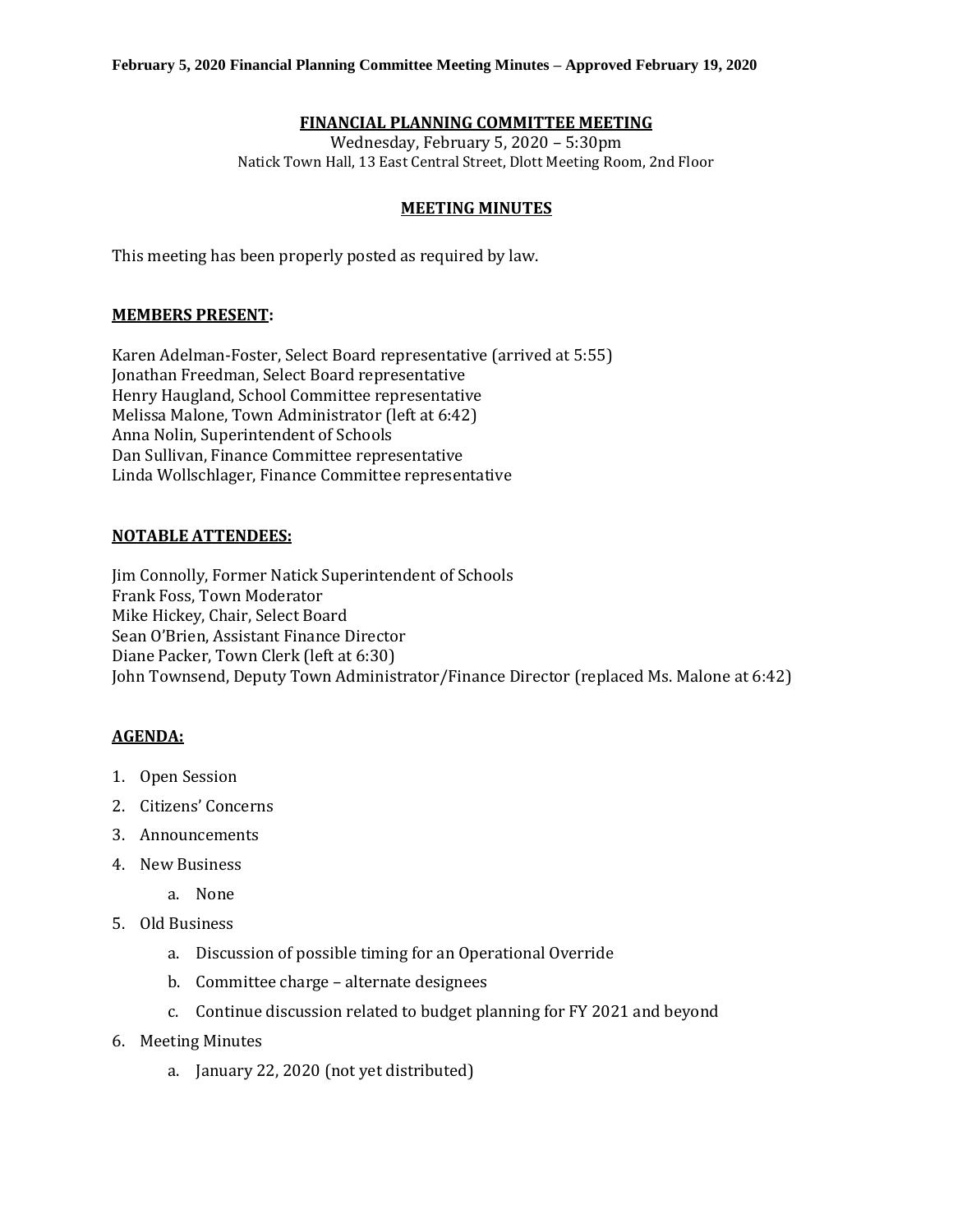# **FINANCIAL PLANNING COMMITTEE MEETING**

Wednesday, February 5, 2020 – 5:30pm Natick Town Hall, 13 East Central Street, Dlott Meeting Room, 2nd Floor

#### **MEETING MINUTES**

This meeting has been properly posted as required by law.

## **MEMBERS PRESENT:**

Karen Adelman-Foster, Select Board representative (arrived at 5:55) Jonathan Freedman, Select Board representative Henry Haugland, School Committee representative Melissa Malone, Town Administrator (left at 6:42) Anna Nolin, Superintendent of Schools Dan Sullivan, Finance Committee representative Linda Wollschlager, Finance Committee representative

## **NOTABLE ATTENDEES:**

Jim Connolly, Former Natick Superintendent of Schools Frank Foss, Town Moderator Mike Hickey, Chair, Select Board Sean O'Brien, Assistant Finance Director Diane Packer, Town Clerk (left at 6:30) John Townsend, Deputy Town Administrator/Finance Director (replaced Ms. Malone at 6:42)

## **AGENDA:**

- 1. Open Session
- 2. Citizens' Concerns
- 3. Announcements
- 4. New Business
	- a. None
- 5. Old Business
	- a. Discussion of possible timing for an Operational Override
	- b. Committee charge alternate designees
	- c. Continue discussion related to budget planning for FY 2021 and beyond
- 6. Meeting Minutes
	- a. January 22, 2020 (not yet distributed)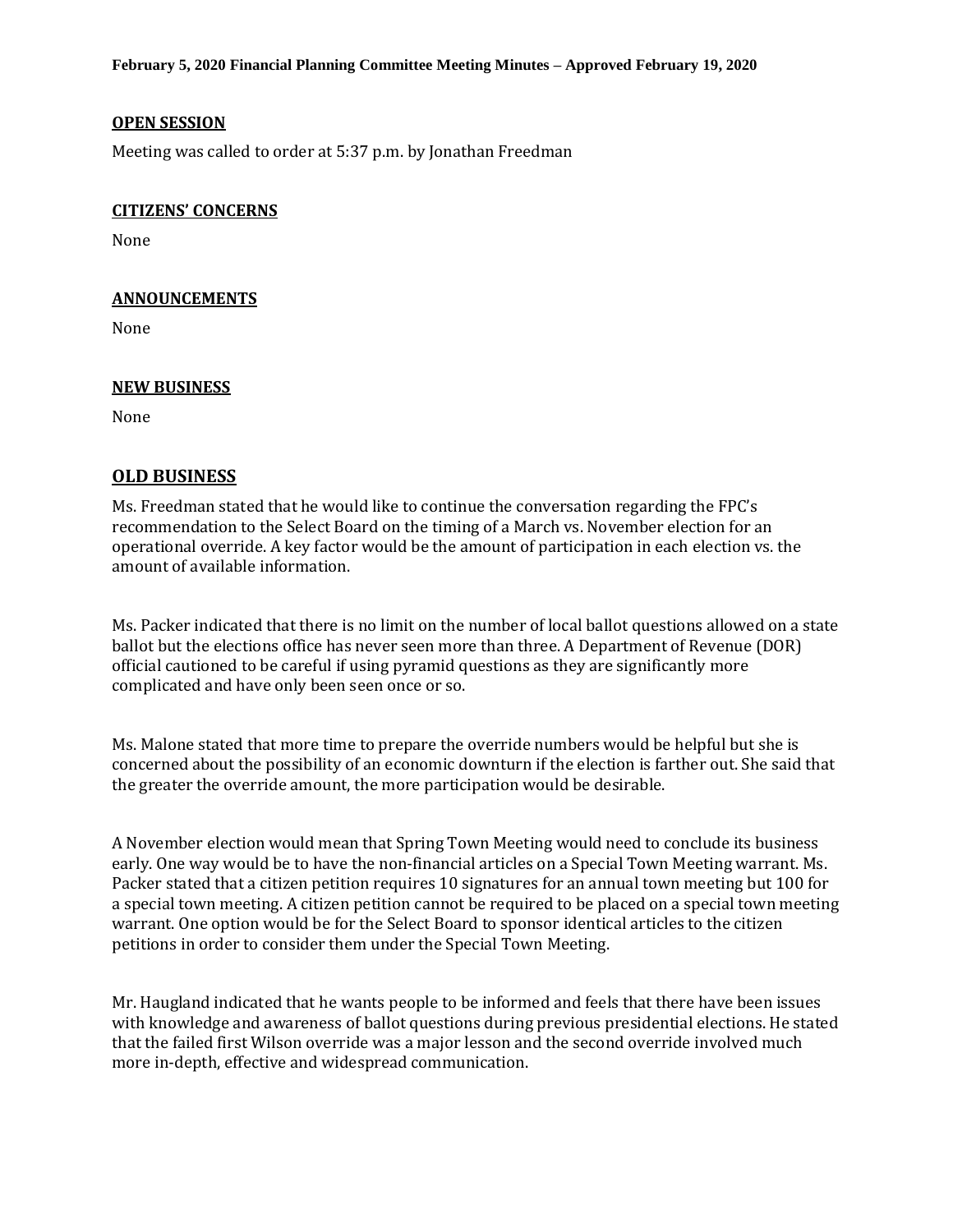**February 5, 2020 Financial Planning Committee Meeting Minutes – Approved February 19, 2020**

## **OPEN SESSION**

Meeting was called to order at 5:37 p.m. by Jonathan Freedman

#### **CITIZENS' CONCERNS**

None

#### **ANNOUNCEMENTS**

None

#### **NEW BUSINESS**

None

# **OLD BUSINESS**

Ms. Freedman stated that he would like to continue the conversation regarding the FPC's recommendation to the Select Board on the timing of a March vs. November election for an operational override. A key factor would be the amount of participation in each election vs. the amount of available information.

Ms. Packer indicated that there is no limit on the number of local ballot questions allowed on a state ballot but the elections office has never seen more than three. A Department of Revenue (DOR) official cautioned to be careful if using pyramid questions as they are significantly more complicated and have only been seen once or so.

Ms. Malone stated that more time to prepare the override numbers would be helpful but she is concerned about the possibility of an economic downturn if the election is farther out. She said that the greater the override amount, the more participation would be desirable.

A November election would mean that Spring Town Meeting would need to conclude its business early. One way would be to have the non-financial articles on a Special Town Meeting warrant. Ms. Packer stated that a citizen petition requires 10 signatures for an annual town meeting but 100 for a special town meeting. A citizen petition cannot be required to be placed on a special town meeting warrant. One option would be for the Select Board to sponsor identical articles to the citizen petitions in order to consider them under the Special Town Meeting.

Mr. Haugland indicated that he wants people to be informed and feels that there have been issues with knowledge and awareness of ballot questions during previous presidential elections. He stated that the failed first Wilson override was a major lesson and the second override involved much more in-depth, effective and widespread communication.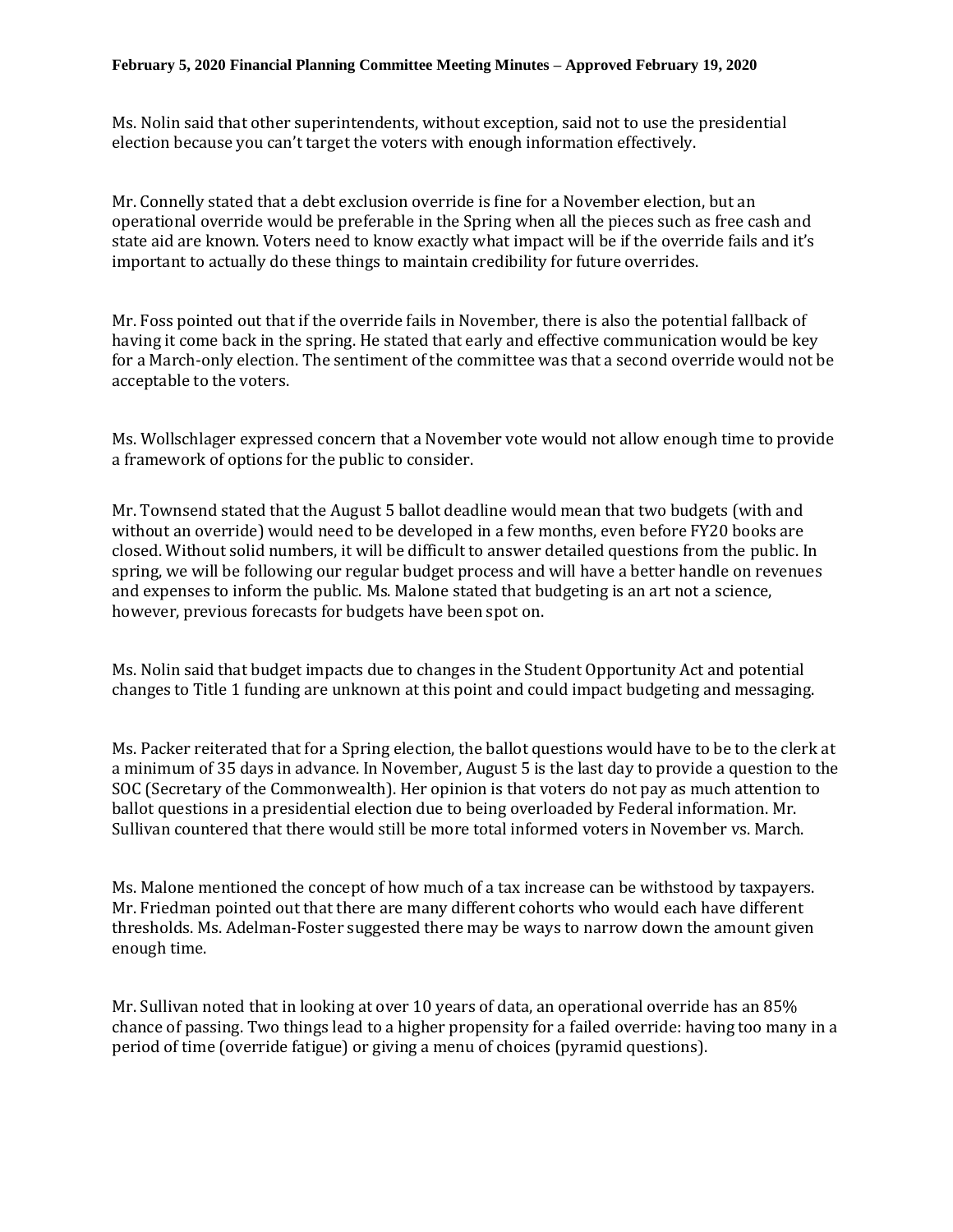Ms. Nolin said that other superintendents, without exception, said not to use the presidential election because you can't target the voters with enough information effectively.

Mr. Connelly stated that a debt exclusion override is fine for a November election, but an operational override would be preferable in the Spring when all the pieces such as free cash and state aid are known. Voters need to know exactly what impact will be if the override fails and it's important to actually do these things to maintain credibility for future overrides.

Mr. Foss pointed out that if the override fails in November, there is also the potential fallback of having it come back in the spring. He stated that early and effective communication would be key for a March-only election. The sentiment of the committee was that a second override would not be acceptable to the voters.

Ms. Wollschlager expressed concern that a November vote would not allow enough time to provide a framework of options for the public to consider.

Mr. Townsend stated that the August 5 ballot deadline would mean that two budgets (with and without an override) would need to be developed in a few months, even before FY20 books are closed. Without solid numbers, it will be difficult to answer detailed questions from the public. In spring, we will be following our regular budget process and will have a better handle on revenues and expenses to inform the public. Ms. Malone stated that budgeting is an art not a science, however, previous forecasts for budgets have been spot on.

Ms. Nolin said that budget impacts due to changes in the Student Opportunity Act and potential changes to Title 1 funding are unknown at this point and could impact budgeting and messaging.

Ms. Packer reiterated that for a Spring election, the ballot questions would have to be to the clerk at a minimum of 35 days in advance. In November, August 5 is the last day to provide a question to the SOC (Secretary of the Commonwealth). Her opinion is that voters do not pay as much attention to ballot questions in a presidential election due to being overloaded by Federal information. Mr. Sullivan countered that there would still be more total informed voters in November vs. March.

Ms. Malone mentioned the concept of how much of a tax increase can be withstood by taxpayers. Mr. Friedman pointed out that there are many different cohorts who would each have different thresholds. Ms. Adelman-Foster suggested there may be ways to narrow down the amount given enough time.

Mr. Sullivan noted that in looking at over 10 years of data, an operational override has an 85% chance of passing. Two things lead to a higher propensity for a failed override: having too many in a period of time (override fatigue) or giving a menu of choices (pyramid questions).